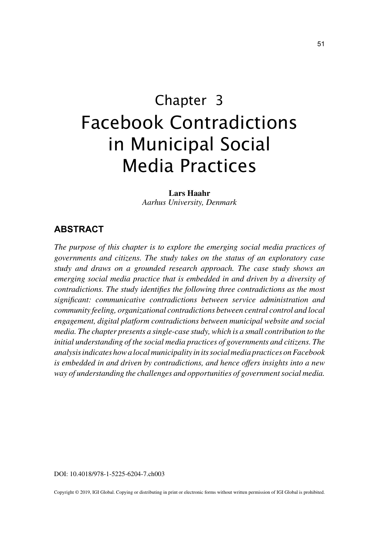# Chapter 3 Facebook Contradictions in Municipal Social Media Practices

**Lars Haahr** *Aarhus University, Denmark*

## **ABSTRACT**

*The purpose of this chapter is to explore the emerging social media practices of governments and citizens. The study takes on the status of an exploratory case study and draws on a grounded research approach. The case study shows an emerging social media practice that is embedded in and driven by a diversity of contradictions. The study identifies the following three contradictions as the most significant: communicative contradictions between service administration and community feeling, organizational contradictions between central control and local engagement, digital platform contradictions between municipal website and social media. The chapter presents a single-case study, which is a small contribution to the initial understanding of the social media practices of governments and citizens. The analysis indicates how a local municipality in its social media practices on Facebook is embedded in and driven by contradictions, and hence offers insights into a new way of understanding the challenges and opportunities of government social media.*

DOI: 10.4018/978-1-5225-6204-7.ch003

Copyright © 2019, IGI Global. Copying or distributing in print or electronic forms without written permission of IGI Global is prohibited.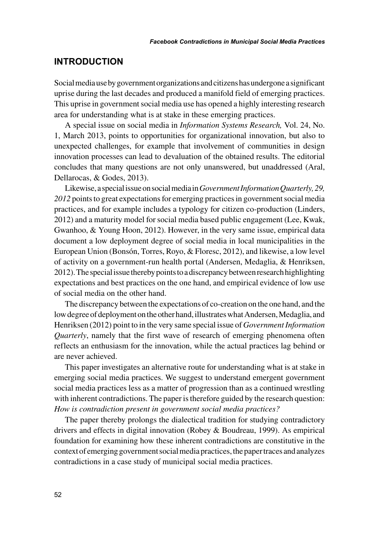### **INTRODUCTION**

Social media use by government organizations and citizens has undergone a significant uprise during the last decades and produced a manifold field of emerging practices. This uprise in government social media use has opened a highly interesting research area for understanding what is at stake in these emerging practices.

A special issue on social media in *Information Systems Research,* Vol. 24, No. 1, March 2013, points to opportunities for organizational innovation, but also to unexpected challenges, for example that involvement of communities in design innovation processes can lead to devaluation of the obtained results. The editorial concludes that many questions are not only unanswered, but unaddressed (Aral, Dellarocas, & Godes, 2013).

Likewise, a special issue on social media in *Government Information Quarterly, 29, 2012* points to great expectations for emerging practices in government social media practices, and for example includes a typology for citizen co-production (Linders, 2012) and a maturity model for social media based public engagement (Lee, Kwak, Gwanhoo, & Young Hoon, 2012). However, in the very same issue, empirical data document a low deployment degree of social media in local municipalities in the European Union (Bonsón, Torres, Royo, & Floresc, 2012), and likewise, a low level of activity on a government-run health portal (Andersen, Medaglia, & Henriksen, 2012). The special issue thereby points to a discrepancy between research highlighting expectations and best practices on the one hand, and empirical evidence of low use of social media on the other hand.

The discrepancy between the expectations of co-creation on the one hand, and the low degree of deployment on the other hand, illustrates what Andersen, Medaglia, and Henriksen (2012) point to in the very same special issue of *Government Information Quarterly*, namely that the first wave of research of emerging phenomena often reflects an enthusiasm for the innovation, while the actual practices lag behind or are never achieved.

This paper investigates an alternative route for understanding what is at stake in emerging social media practices. We suggest to understand emergent government social media practices less as a matter of progression than as a continued wrestling with inherent contradictions. The paper is therefore guided by the research question: *How is contradiction present in government social media practices?*

The paper thereby prolongs the dialectical tradition for studying contradictory drivers and effects in digital innovation (Robey & Boudreau, 1999). As empirical foundation for examining how these inherent contradictions are constitutive in the context of emerging government social media practices, the paper traces and analyzes contradictions in a case study of municipal social media practices.